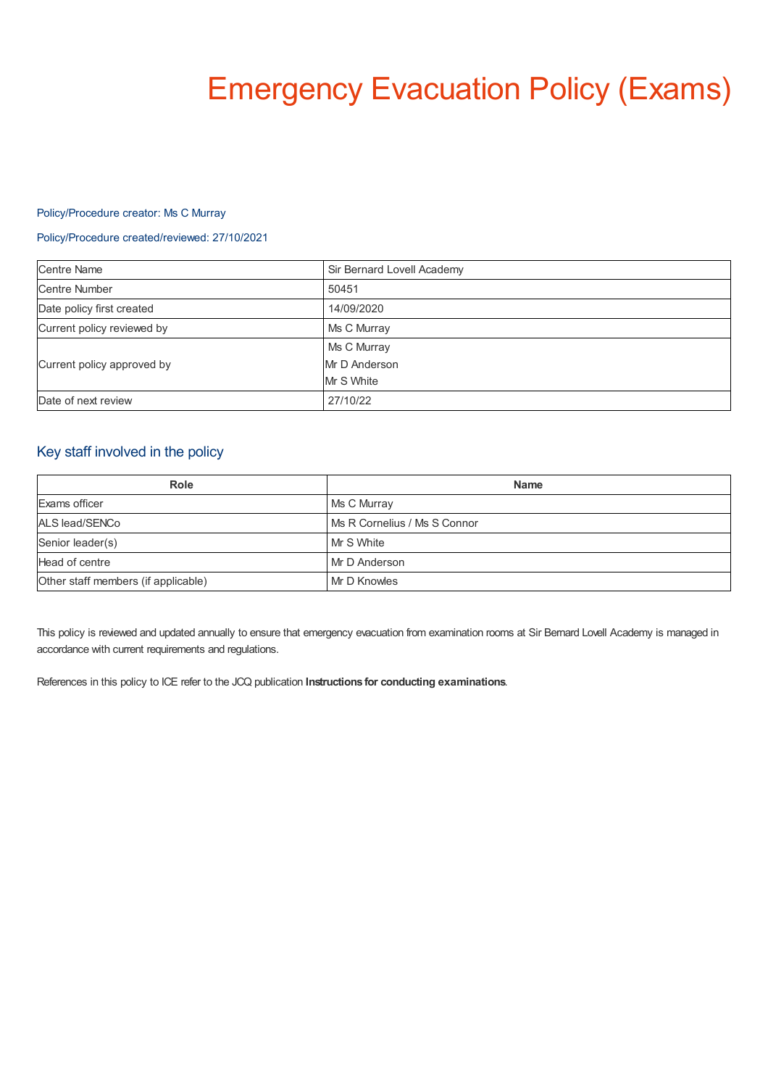# Emergency Evacuation Policy (Exams)

# Policy/Procedure creator: Ms C Murray

## Policy/Procedure created/reviewed: 27/10/2021

| <b>Centre Name</b>         | Sir Bernard Lovell Academy |
|----------------------------|----------------------------|
| <b>Centre Number</b>       | 50451                      |
| Date policy first created  | 14/09/2020                 |
| Current policy reviewed by | Ms C Murray                |
| Current policy approved by | Ms C Murray                |
|                            | Mr D Anderson              |
|                            | Mr S White                 |
| Date of next review        | 27/10/22                   |

# Key staff involved in the policy

| Role                                | <b>Name</b>                  |
|-------------------------------------|------------------------------|
| Exams officer                       | Ms C Murray                  |
| ALS lead/SENCo                      | Ms R Cornelius / Ms S Connor |
| Senior leader(s)                    | Mr S White                   |
| Head of centre                      | Mr D Anderson                |
| Other staff members (if applicable) | Mr D Knowles                 |

This policy is reviewed and updated annually to ensure that emergency evacuation from examination rooms at Sir Bernard Lovell Academy is managed in accordance with current requirements and regulations.

References in this policy to ICE refer to the JCQ publication **Instructions for conducting examinations**.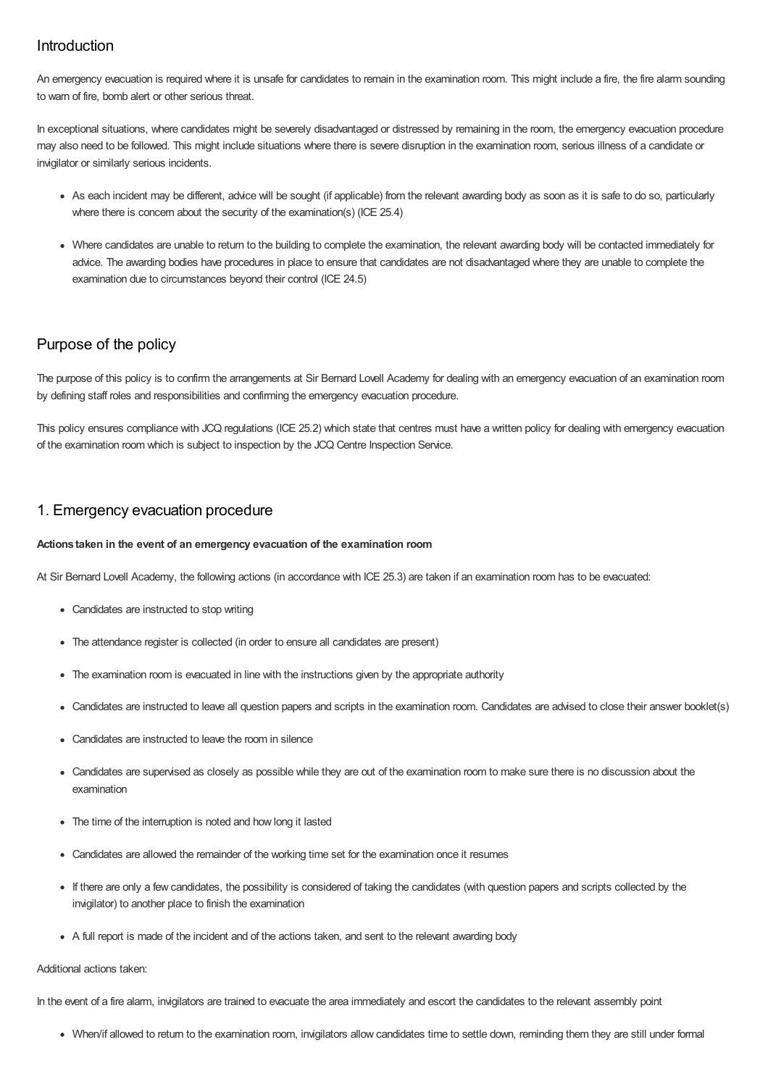# Introduction

An emergency evacuation is required where it is unsafe for candidates to remain in the examination room. This might include a fire, the fire alarm sounding to warn of fire, bomb alert or other serious threat.

In exceptional situations, where candidates might be severely disadvantaged or distressed by remaining in the room, the emergency evacuation procedure may also need to be followed. This might include situations where there is severe disruption in the examination room, serious illness of a candidate or invigilator or similarly serious incidents.

- As each incident may be different, advice will be sought (if applicable) from the relevant awarding body as soon as it is safe to do so, particularly where there is concern about the security of the examination(s) (ICE 25.4)
- Where candidates are unable to return to the building to complete the examination, the relevant awarding body will be contacted immediately for advice. The awarding bodies have procedures in place to ensure that candidates are not disadvantaged where they are unable to complete the examination due to circumstances beyond their control (ICE 24.5)

# Purpose of the policy

The purpose of this policy is to confirm the arrangements at Sir Bernard Lovell Academy for dealing with an emergency evacuation of an examination room by defining staff roles and responsibilities and confirming the emergency evacuation procedure.

This policy ensures compliance with JCQ regulations (ICE 25.2) which state that centres must have a written policy for dealing with emergency evacuation of the examination room which is subject to inspection by the JCQ Centre Inspection Service.

# 1. Emergency evacuation procedure

## **Actions taken in the event of an emergency evacuation of the examination room**

At Sir Bernard Lovell Academy, the following actions (in accordance with ICE 25.3) are taken if an examination room has to be evacuated:

- Candidates are instructed to stop writing
- The attendance register is collected (in order to ensure all candidates are present)
- The examination room is evacuated in line with the instructions given by the appropriate authority
- Candidates are instructed to leave all question papers and scripts in the examination room. Candidates are advised to close their answer booklet(s)
- Candidates are instructed to leave the room in silence
- Candidates are supervised as closely as possible while they are out of the examination room to make sure there is no discussion about the examination
- The time of the interruption is noted and how long it lasted
- Candidates are allowed the remainder of the working time set for the examination once it resumes
- If there are only a few candidates, the possibility is considered of taking the candidates (with question papers and scripts collected by the invigilator) to another place to finish the examination
- A full report is made of the incident and of the actions taken, and sent to the relevant awarding body

## Additional actions taken:

In the event of a fire alarm, invigilators are trained to evacuate the area immediately and escort the candidates to the relevant assembly point

When/if allowed to return to the examination room, invigilators allow candidates time to settle down, reminding them they are still under formal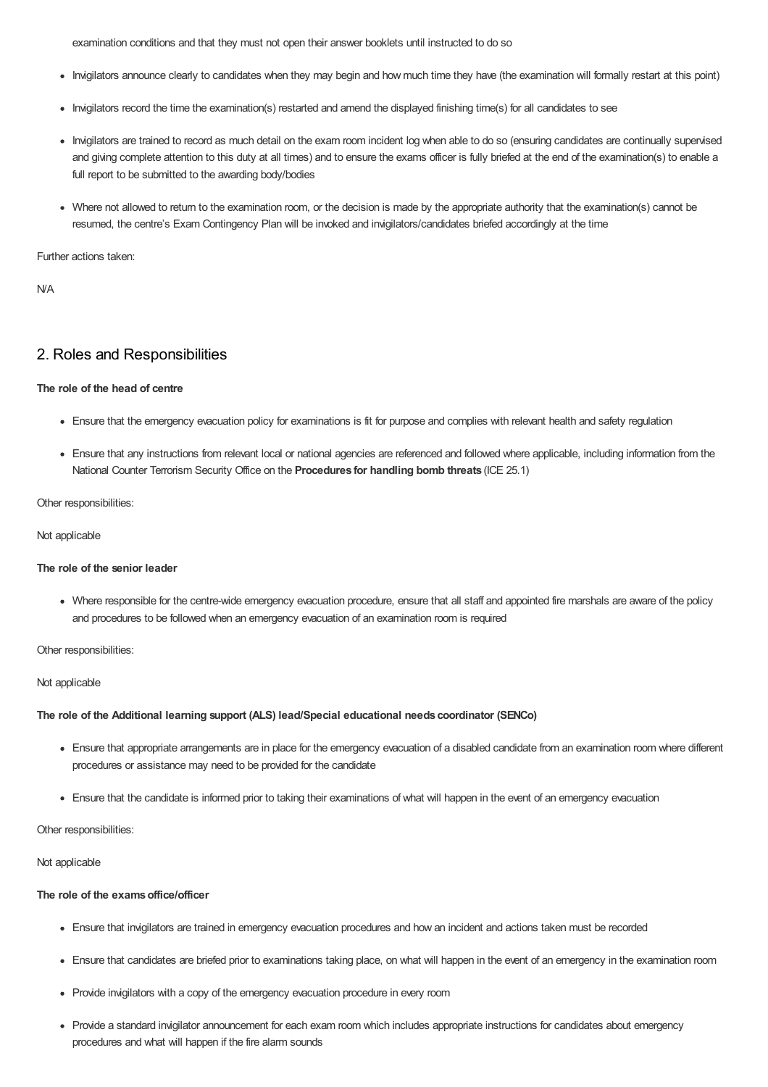examination conditions and that they must not open their answer booklets until instructed to do so

- Invigilators announce clearly to candidates when they may begin and how much time they have (the examination will formally restart at this point)
- Invigilators record the time the examination(s) restarted and amend the displayed finishing time(s) for all candidates to see
- Invigilators are trained to record as much detail on the exam room incident log when able to do so (ensuring candidates are continually supervised and giving complete attention to this duty at all times) and to ensure the exams officer is fully briefed at the end of the examination(s) to enable a full report to be submitted to the awarding body/bodies
- Where not allowed to return to the examination room, or the decision is made by the appropriate authority that the examination(s) cannot be resumed, the centre's Exam Contingency Plan will be invoked and invigilators/candidates briefed accordingly at the time

Further actions taken:

N/A

# 2. Roles and Responsibilities

#### **The role of the head of centre**

- Ensure that the emergency evacuation policy for examinations is fit for purpose and complies with relevant health and safety regulation
- Ensure that any instructions from relevant local or national agencies are referenced and followed where applicable, including information from the National Counter Terrorism Security Office on the **Procedures for handling bomb threats** (ICE 25.1)

Other responsibilities:

#### Not applicable

#### **The role of the senior leader**

Where responsible for the centre-wide emergency evacuation procedure, ensure that all staff and appointed fire marshals are aware of the policy and procedures to be followed when an emergency evacuation of an examination room is required

Other responsibilities:

#### Not applicable

#### **The role of the Additional learning support (ALS) lead/Special educational needs coordinator (SENCo)**

- Ensure that appropriate arrangements are in place for the emergency evacuation of a disabled candidate from an examination room where different procedures or assistance may need to be provided for the candidate
- Ensure that the candidate is informed prior to taking their examinations of what will happen in the event of an emergency evacuation

## Other responsibilities:

Not applicable

## **The role of the examsoffice/officer**

- Ensure that invigilators are trained in emergency evacuation procedures and how an incident and actions taken must be recorded
- Ensure that candidates are briefed prior to examinations taking place, on what will happen in the event of an emergency in the examination room
- Provide invigilators with a copy of the emergency evacuation procedure in every room
- Provide a standard invigilator announcement for each exam room which includes appropriate instructions for candidates about emergency procedures and what will happen if the fire alarm sounds